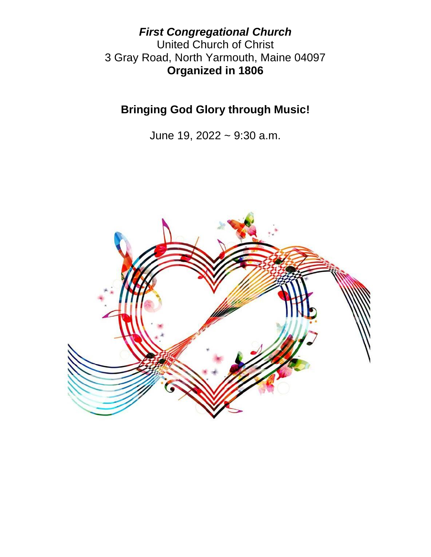*First Congregational Church* United Church of Christ 3 Gray Road, North Yarmouth, Maine 04097 **Organized in 1806**

**Bringing God Glory through Music!**

June 19, 2022 ~ 9:30 a.m.

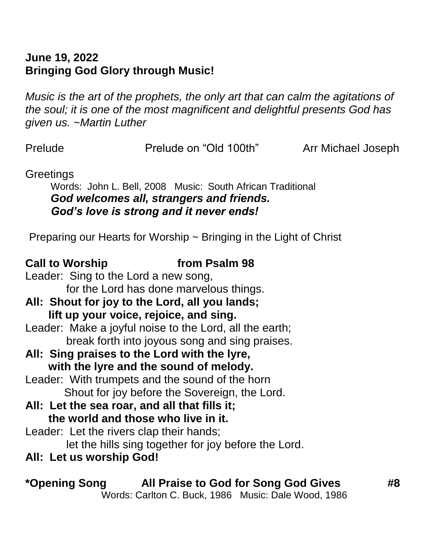# **June 19, 2022 Bringing God Glory through Music!**

*Music is the art of the prophets, the only art that can calm the agitations of the soul; it is one of the most magnificent and delightful presents God has given us. ~Martin Luther*

Prelude Prelude on "Old 100th" Arr Michael Joseph

**Greetings** 

Words: John L. Bell, 2008 Music: South African Traditional *God welcomes all, strangers and friends. God's love is strong and it never ends!* 

Preparing our Hearts for Worship ~ Bringing in the Light of Christ

### **Call to Worship from Psalm 98**

- Leader: Sing to the Lord a new song, for the Lord has done marvelous things.
- **All: Shout for joy to the Lord, all you lands; lift up your voice, rejoice, and sing.**
- Leader: Make a joyful noise to the Lord, all the earth; break forth into joyous song and sing praises.
- **All: Sing praises to the Lord with the lyre, with the lyre and the sound of melody.**
- Leader: With trumpets and the sound of the horn Shout for joy before the Sovereign, the Lord.
- **All: Let the sea roar, and all that fills it; the world and those who live in it.**
- Leader: Let the rivers clap their hands; let the hills sing together for joy before the Lord.
- **All: Let us worship God!**

**\*Opening Song All Praise to God for Song God Gives #8**

Words: Carlton C. Buck, 1986 Music: Dale Wood, 1986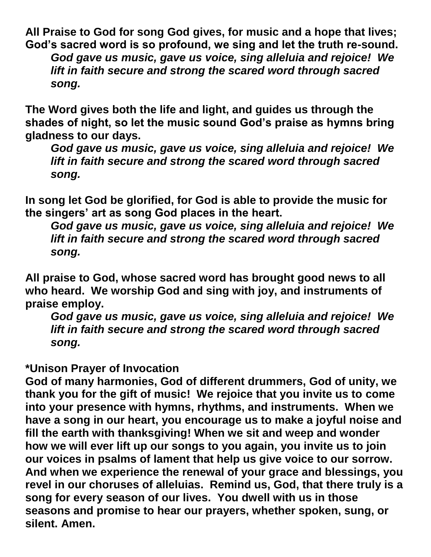**All Praise to God for song God gives, for music and a hope that lives; God's sacred word is so profound, we sing and let the truth re-sound.**  *God gave us music, gave us voice, sing alleluia and rejoice! We lift in faith secure and strong the scared word through sacred song.*

**The Word gives both the life and light, and guides us through the shades of night, so let the music sound God's praise as hymns bring gladness to our days.** 

*God gave us music, gave us voice, sing alleluia and rejoice! We lift in faith secure and strong the scared word through sacred song.*

**In song let God be glorified, for God is able to provide the music for the singers' art as song God places in the heart.** 

*God gave us music, gave us voice, sing alleluia and rejoice! We lift in faith secure and strong the scared word through sacred song.*

**All praise to God, whose sacred word has brought good news to all who heard. We worship God and sing with joy, and instruments of praise employ.** 

*God gave us music, gave us voice, sing alleluia and rejoice! We lift in faith secure and strong the scared word through sacred song.*

# **\*Unison Prayer of Invocation**

**God of many harmonies, God of different drummers, God of unity, we thank you for the gift of music! We rejoice that you invite us to come into your presence with hymns, rhythms, and instruments. When we have a song in our heart, you encourage us to make a joyful noise and fill the earth with thanksgiving! When we sit and weep and wonder how we will ever lift up our songs to you again, you invite us to join our voices in psalms of lament that help us give voice to our sorrow. And when we experience the renewal of your grace and blessings, you revel in our choruses of alleluias. Remind us, God, that there truly is a song for every season of our lives. You dwell with us in those seasons and promise to hear our prayers, whether spoken, sung, or silent. Amen.**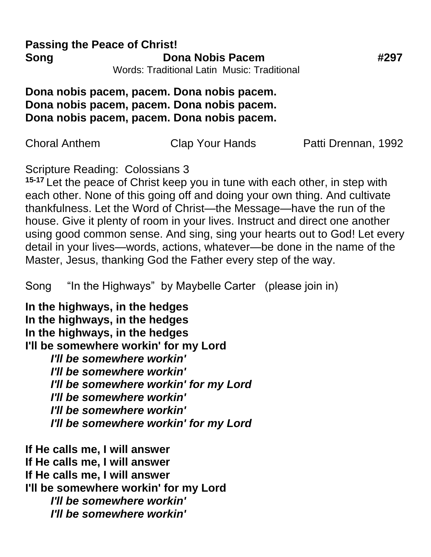#### **Passing the Peace of Christ! Song Cona Nobis Pacem 4297** Words: Traditional Latin Music: Traditional

## **Dona nobis pacem, pacem. Dona nobis pacem. Dona nobis pacem, pacem. Dona nobis pacem. Dona nobis pacem, pacem. Dona nobis pacem.**

| Choral Anthem | <b>Clap Your Hands</b> | Patti Drennan, 1992 |
|---------------|------------------------|---------------------|
|---------------|------------------------|---------------------|

Scripture Reading: Colossians 3

**15-17** Let the peace of Christ keep you in tune with each other, in step with each other. None of this going off and doing your own thing. And cultivate thankfulness. Let the Word of Christ—the Message—have the run of the house. Give it plenty of room in your lives. Instruct and direct one another using good common sense. And sing, sing your hearts out to God! Let every detail in your lives—words, actions, whatever—be done in the name of the Master, Jesus, thanking God the Father every step of the way.

Song "In the Highways" by Maybelle Carter (please join in)

**In the highways, in the hedges In the highways, in the hedges In the highways, in the hedges I'll be somewhere workin' for my Lord** *I'll be somewhere workin' I'll be somewhere workin' I'll be somewhere workin' for my Lord I'll be somewhere workin' I'll be somewhere workin' I'll be somewhere workin' for my Lord*

**If He calls me, I will answer If He calls me, I will answer If He calls me, I will answer I'll be somewhere workin' for my Lord** *I'll be somewhere workin' I'll be somewhere workin'*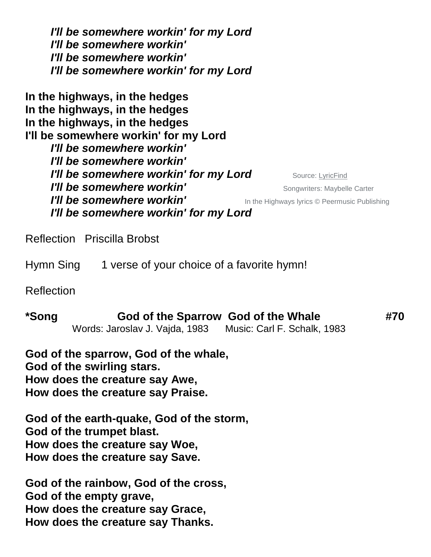*I'll be somewhere workin' for my Lord I'll be somewhere workin' I'll be somewhere workin' I'll be somewhere workin' for my Lord*

**In the highways, in the hedges In the highways, in the hedges In the highways, in the hedges I'll be somewhere workin' for my Lord** *I'll be somewhere workin' I'll be somewhere workin' I'll be somewhere workin' for my Lord* Source: [LyricFind](https://www.lyricfind.com/) *I'll be somewhere workin'* **Songwriters: Maybelle Carter** *I'll be somewhere workin'* **I'll be somewhere workin'** In the Highways lyrics © Peermusic Publishing *I'll be somewhere workin' for my Lord*

Reflection Priscilla Brobst

Hymn Sing 1 verse of your choice of a favorite hymn!

Reflection

**\*Song God of the Sparrow God of the Whale #70**  Words: Jaroslav J. Vajda, 1983 Music: Carl F. Schalk, 1983

**God of the sparrow, God of the whale, God of the swirling stars. How does the creature say Awe, How does the creature say Praise.**

**God of the earth-quake, God of the storm, God of the trumpet blast. How does the creature say Woe, How does the creature say Save.**

**God of the rainbow, God of the cross, God of the empty grave, How does the creature say Grace, How does the creature say Thanks.**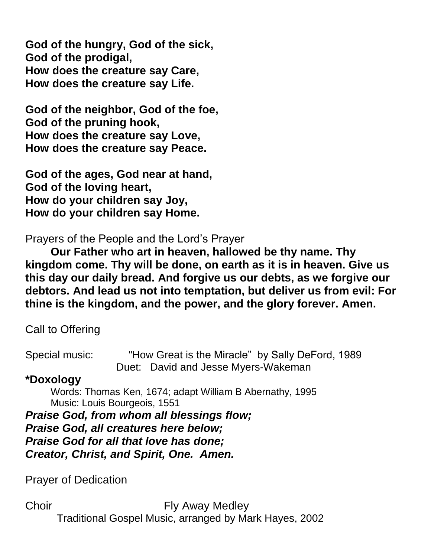**God of the hungry, God of the sick, God of the prodigal, How does the creature say Care, How does the creature say Life.**

**God of the neighbor, God of the foe, God of the pruning hook, How does the creature say Love, How does the creature say Peace.**

**God of the ages, God near at hand, God of the loving heart, How do your children say Joy, How do your children say Home.**

Prayers of the People and the Lord's Prayer

**Our Father who art in heaven, hallowed be thy name. Thy kingdom come. Thy will be done, on earth as it is in heaven. Give us this day our daily bread. And forgive us our debts, as we forgive our debtors. And lead us not into temptation, but deliver us from evil: For thine is the kingdom, and the power, and the glory forever. Amen.**

Call to Offering

Special music: "How Great is the Miracle" by Sally DeFord, 1989 Duet: David and Jesse Myers-Wakeman

# **\*Doxology**

Words: Thomas Ken, 1674; adapt William B Abernathy, 1995 Music: Louis Bourgeois, 1551

*Praise God, from whom all blessings flow; Praise God, all creatures here below; Praise God for all that love has done; Creator, Christ, and Spirit, One. Amen.* 

Prayer of Dedication

Choir **Fly Away Medley** Traditional Gospel Music, arranged by Mark Hayes, 2002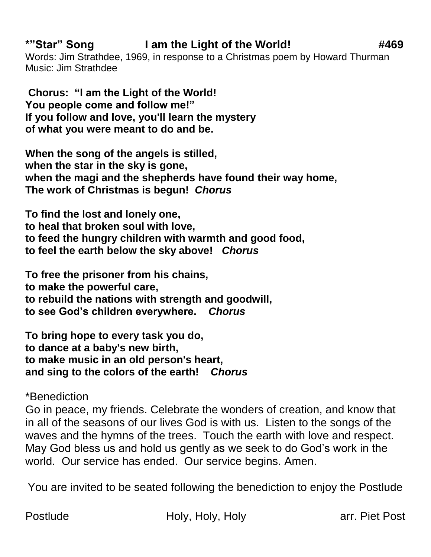# **\*"Star" Song I am the Light of the World! #469**

Words: Jim Strathdee, 1969, in response to a Christmas poem by Howard Thurman Music: Jim Strathdee

**Chorus: "I am the Light of the World! You people come and follow me!" If you follow and love, you'll learn the mystery of what you were meant to do and be.**

**When the song of the angels is stilled, when the star in the sky is gone, when the magi and the shepherds have found their way home, The work of Christmas is begun!** *Chorus*

**To find the lost and lonely one, to heal that broken soul with love, to feed the hungry children with warmth and good food, to feel the earth below the sky above!** *Chorus*

**To free the prisoner from his chains, to make the powerful care, to rebuild the nations with strength and goodwill, to see God's children everywhere.** *Chorus*

**To bring hope to every task you do, to dance at a baby's new birth, to make music in an old person's heart, and sing to the colors of the earth!** *Chorus*

\*Benediction

Go in peace, my friends. Celebrate the wonders of creation, and know that in all of the seasons of our lives God is with us. Listen to the songs of the waves and the hymns of the trees. Touch the earth with love and respect. May God bless us and hold us gently as we seek to do God's work in the world. Our service has ended. Our service begins. Amen.

You are invited to be seated following the benediction to enjoy the Postlude

Postlude **Holy, Holy, Holy** Holy arr. Piet Post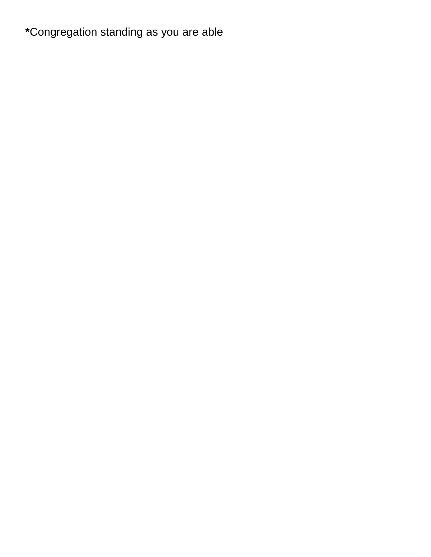# **\***Congregation standing as you are able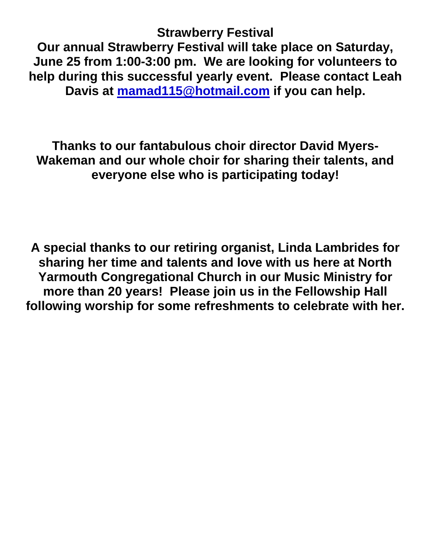**Strawberry Festival**

**Our annual Strawberry Festival will take place on Saturday, June 25 from 1:00-3:00 pm. We are looking for volunteers to help during this successful yearly event. Please contact Leah Davis at [mamad115@hotmail.com](mailto:mamad115@hotmail.com) if you can help.**

**Thanks to our fantabulous choir director David Myers-Wakeman and our whole choir for sharing their talents, and everyone else who is participating today!**

**A special thanks to our retiring organist, Linda Lambrides for sharing her time and talents and love with us here at North Yarmouth Congregational Church in our Music Ministry for more than 20 years! Please join us in the Fellowship Hall following worship for some refreshments to celebrate with her.**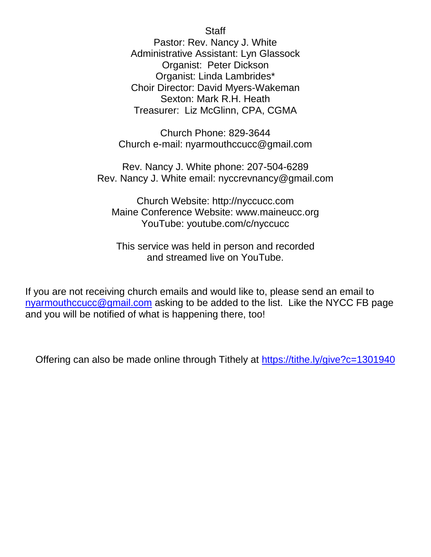**Staff** 

Pastor: Rev. Nancy J. White Administrative Assistant: Lyn Glassock Organist: Peter Dickson Organist: Linda Lambrides\* Choir Director: David Myers-Wakeman Sexton: Mark R.H. Heath Treasurer: Liz McGlinn, CPA, CGMA

Church Phone: 829-3644 Church e-mail: nyarmouthccucc@gmail.com

Rev. Nancy J. White phone: 207-504-6289 Rev. Nancy J. White email: nyccrevnancy@gmail.com

Church Website: http://nyccucc.com Maine Conference Website: www.maineucc.org YouTube: youtube.com/c/nyccucc

This service was held in person and recorded and streamed live on YouTube.

If you are not receiving church emails and would like to, please send an email to [nyarmouthccucc@gmail.com](mailto:nyarmouthccucc@gmail.com) asking to be added to the list. Like the NYCC FB page and you will be notified of what is happening there, too!

Offering can also be made online through Tithely at<https://tithe.ly/give?c=1301940>